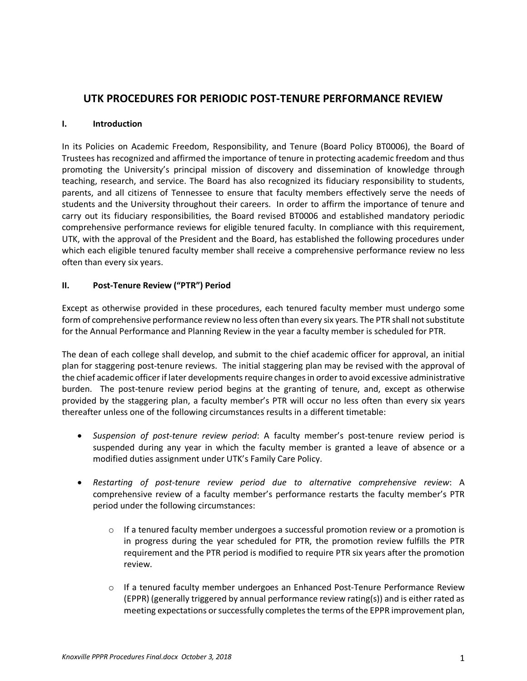# **UTK PROCEDURES FOR PERIODIC POST-TENURE PERFORMANCE REVIEW**

## **I. Introduction**

In its Policies on Academic Freedom, Responsibility, and Tenure (Board Policy BT0006), the Board of Trustees has recognized and affirmed the importance of tenure in protecting academic freedom and thus promoting the University's principal mission of discovery and dissemination of knowledge through teaching, research, and service. The Board has also recognized its fiduciary responsibility to students, parents, and all citizens of Tennessee to ensure that faculty members effectively serve the needs of students and the University throughout their careers. In order to affirm the importance of tenure and carry out its fiduciary responsibilities, the Board revised BT0006 and established mandatory periodic comprehensive performance reviews for eligible tenured faculty. In compliance with this requirement, UTK, with the approval of the President and the Board, has established the following procedures under which each eligible tenured faculty member shall receive a comprehensive performance review no less often than every six years.

## **II. Post-Tenure Review ("PTR") Period**

Except as otherwise provided in these procedures, each tenured faculty member must undergo some form of comprehensive performance review no less often than every six years. The PTR shall not substitute for the Annual Performance and Planning Review in the year a faculty member is scheduled for PTR.

The dean of each college shall develop, and submit to the chief academic officer for approval, an initial plan for staggering post-tenure reviews. The initial staggering plan may be revised with the approval of the chief academic officer if later developments require changes in order to avoid excessive administrative burden. The post-tenure review period begins at the granting of tenure, and, except as otherwise provided by the staggering plan, a faculty member's PTR will occur no less often than every six years thereafter unless one of the following circumstances results in a different timetable:

- *Suspension of post-tenure review period*: A faculty member's post-tenure review period is suspended during any year in which the faculty member is granted a leave of absence or a modified duties assignment under UTK's Family Care Policy.
- *Restarting of post-tenure review period due to alternative comprehensive review*: A comprehensive review of a faculty member's performance restarts the faculty member's PTR period under the following circumstances:
	- $\circ$  If a tenured faculty member undergoes a successful promotion review or a promotion is in progress during the year scheduled for PTR, the promotion review fulfills the PTR requirement and the PTR period is modified to require PTR six years after the promotion review.
	- $\circ$  If a tenured faculty member undergoes an Enhanced Post-Tenure Performance Review (EPPR) (generally triggered by annual performance review rating(s)) and is either rated as meeting expectations or successfully completes the terms of the EPPR improvement plan,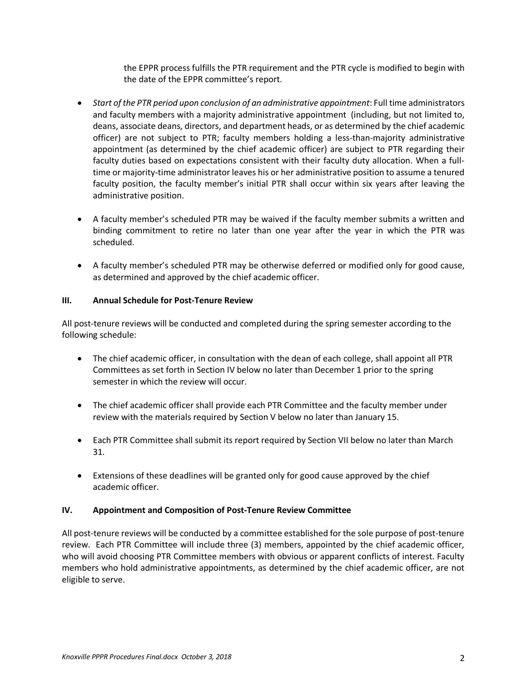the EPPR process fulfills the PTR requirement and the PTR cycle is modified to begin with the date of the EPPR committee's report.

- *Start of the PTR period upon conclusion of an administrative appointment*: Full time administrators and faculty members with a majority administrative appointment (including, but not limited to, deans, associate deans, directors, and department heads, or as determined by the chief academic officer) are not subject to PTR; faculty members holding a less-than-majority administrative appointment (as determined by the chief academic officer) are subject to PTR regarding their faculty duties based on expectations consistent with their faculty duty allocation. When a fulltime or majority-time administrator leaves his or her administrative position to assume a tenured faculty position, the faculty member's initial PTR shall occur within six years after leaving the administrative position.
- A faculty member's scheduled PTR may be waived if the faculty member submits a written and binding commitment to retire no later than one year after the year in which the PTR was scheduled.
- A faculty member's scheduled PTR may be otherwise deferred or modified only for good cause, as determined and approved by the chief academic officer.

## **III. Annual Schedule for Post-Tenure Review**

All post-tenure reviews will be conducted and completed during the spring semester according to the following schedule:

- The chief academic officer, in consultation with the dean of each college, shall appoint all PTR Committees as set forth in Section IV below no later than December 1 prior to the spring semester in which the review will occur.
- The chief academic officer shall provide each PTR Committee and the faculty member under review with the materials required by Section V below no later than January 15.
- Each PTR Committee shall submit its report required by Section VII below no later than March 31.
- Extensions of these deadlines will be granted only for good cause approved by the chief academic officer.

#### **IV. Appointment and Composition of Post-Tenure Review Committee**

All post-tenure reviews will be conducted by a committee established for the sole purpose of post-tenure review. Each PTR Committee will include three (3) members, appointed by the chief academic officer, who will avoid choosing PTR Committee members with obvious or apparent conflicts of interest. Faculty members who hold administrative appointments, as determined by the chief academic officer, are not eligible to serve.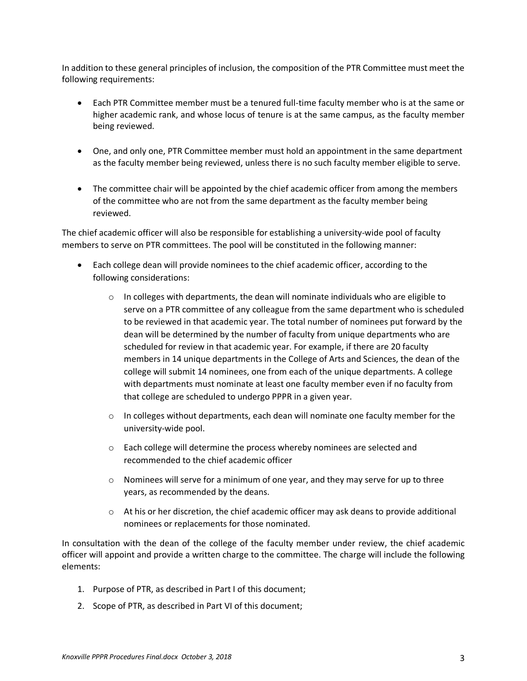In addition to these general principles of inclusion, the composition of the PTR Committee must meet the following requirements:

- Each PTR Committee member must be a tenured full-time faculty member who is at the same or higher academic rank, and whose locus of tenure is at the same campus, as the faculty member being reviewed.
- One, and only one, PTR Committee member must hold an appointment in the same department as the faculty member being reviewed, unless there is no such faculty member eligible to serve.
- The committee chair will be appointed by the chief academic officer from among the members of the committee who are not from the same department as the faculty member being reviewed.

The chief academic officer will also be responsible for establishing a university-wide pool of faculty members to serve on PTR committees. The pool will be constituted in the following manner:

- Each college dean will provide nominees to the chief academic officer, according to the following considerations:
	- $\circ$  In colleges with departments, the dean will nominate individuals who are eligible to serve on a PTR committee of any colleague from the same department who is scheduled to be reviewed in that academic year. The total number of nominees put forward by the dean will be determined by the number of faculty from unique departments who are scheduled for review in that academic year. For example, if there are 20 faculty members in 14 unique departments in the College of Arts and Sciences, the dean of the college will submit 14 nominees, one from each of the unique departments. A college with departments must nominate at least one faculty member even if no faculty from that college are scheduled to undergo PPPR in a given year.
	- $\circ$  In colleges without departments, each dean will nominate one faculty member for the university-wide pool.
	- o Each college will determine the process whereby nominees are selected and recommended to the chief academic officer
	- $\circ$  Nominees will serve for a minimum of one year, and they may serve for up to three years, as recommended by the deans.
	- $\circ$  At his or her discretion, the chief academic officer may ask deans to provide additional nominees or replacements for those nominated.

In consultation with the dean of the college of the faculty member under review, the chief academic officer will appoint and provide a written charge to the committee. The charge will include the following elements:

- 1. Purpose of PTR, as described in Part I of this document;
- 2. Scope of PTR, as described in Part VI of this document;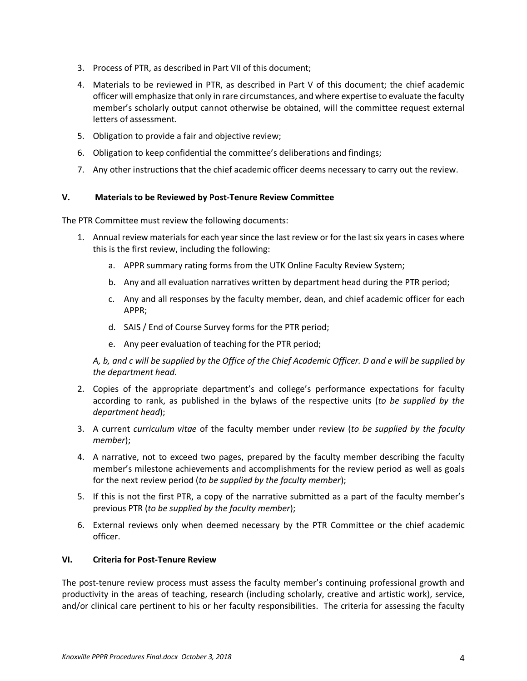- 3. Process of PTR, as described in Part VII of this document;
- 4. Materials to be reviewed in PTR, as described in Part V of this document; the chief academic officer will emphasize that only in rare circumstances, and where expertise to evaluate the faculty member's scholarly output cannot otherwise be obtained, will the committee request external letters of assessment.
- 5. Obligation to provide a fair and objective review;
- 6. Obligation to keep confidential the committee's deliberations and findings;
- 7. Any other instructions that the chief academic officer deems necessary to carry out the review.

#### **V. Materials to be Reviewed by Post-Tenure Review Committee**

The PTR Committee must review the following documents:

- 1. Annual review materials for each year since the last review or for the last six years in cases where this is the first review, including the following:
	- a. APPR summary rating forms from the UTK Online Faculty Review System;
	- b. Any and all evaluation narratives written by department head during the PTR period;
	- c. Any and all responses by the faculty member, dean, and chief academic officer for each APPR;
	- d. SAIS / End of Course Survey forms for the PTR period;
	- e. Any peer evaluation of teaching for the PTR period;

*A, b, and c will be supplied by the Office of the Chief Academic Officer. D and e will be supplied by the department head*.

- 2. Copies of the appropriate department's and college's performance expectations for faculty according to rank, as published in the bylaws of the respective units (*to be supplied by the department head*);
- 3. A current *curriculum vitae* of the faculty member under review (*to be supplied by the faculty member*);
- 4. A narrative, not to exceed two pages, prepared by the faculty member describing the faculty member's milestone achievements and accomplishments for the review period as well as goals for the next review period (*to be supplied by the faculty member*);
- 5. If this is not the first PTR, a copy of the narrative submitted as a part of the faculty member's previous PTR (*to be supplied by the faculty member*);
- 6. External reviews only when deemed necessary by the PTR Committee or the chief academic officer.

#### **VI. Criteria for Post-Tenure Review**

The post-tenure review process must assess the faculty member's continuing professional growth and productivity in the areas of teaching, research (including scholarly, creative and artistic work), service, and/or clinical care pertinent to his or her faculty responsibilities. The criteria for assessing the faculty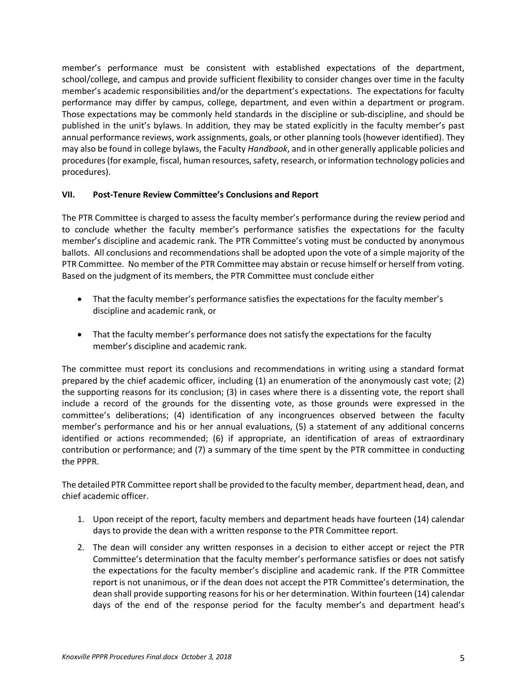member's performance must be consistent with established expectations of the department, school/college, and campus and provide sufficient flexibility to consider changes over time in the faculty member's academic responsibilities and/or the department's expectations. The expectations for faculty performance may differ by campus, college, department, and even within a department or program. Those expectations may be commonly held standards in the discipline or sub-discipline, and should be published in the unit's bylaws. In addition, they may be stated explicitly in the faculty member's past annual performance reviews, work assignments, goals, or other planning tools (however identified). They may also be found in college bylaws, the Faculty *Handbook*, and in other generally applicable policies and procedures (for example, fiscal, human resources, safety, research, or information technology policies and procedures).

## **VII. Post-Tenure Review Committee's Conclusions and Report**

The PTR Committee is charged to assess the faculty member's performance during the review period and to conclude whether the faculty member's performance satisfies the expectations for the faculty member's discipline and academic rank. The PTR Committee's voting must be conducted by anonymous ballots. All conclusions and recommendations shall be adopted upon the vote of a simple majority of the PTR Committee. No member of the PTR Committee may abstain or recuse himself or herself from voting. Based on the judgment of its members, the PTR Committee must conclude either

- That the faculty member's performance satisfies the expectations for the faculty member's discipline and academic rank, or
- That the faculty member's performance does not satisfy the expectations for the faculty member's discipline and academic rank.

The committee must report its conclusions and recommendations in writing using a standard format prepared by the chief academic officer, including (1) an enumeration of the anonymously cast vote; (2) the supporting reasons for its conclusion; (3) in cases where there is a dissenting vote, the report shall include a record of the grounds for the dissenting vote, as those grounds were expressed in the committee's deliberations; (4) identification of any incongruences observed between the faculty member's performance and his or her annual evaluations, (5) a statement of any additional concerns identified or actions recommended; (6) if appropriate, an identification of areas of extraordinary contribution or performance; and (7) a summary of the time spent by the PTR committee in conducting the PPPR.

The detailed PTR Committee report shall be provided to the faculty member, department head, dean, and chief academic officer.

- 1. Upon receipt of the report, faculty members and department heads have fourteen (14) calendar days to provide the dean with a written response to the PTR Committee report.
- 2. The dean will consider any written responses in a decision to either accept or reject the PTR Committee's determination that the faculty member's performance satisfies or does not satisfy the expectations for the faculty member's discipline and academic rank. If the PTR Committee report is not unanimous, or if the dean does not accept the PTR Committee's determination, the dean shall provide supporting reasons for his or her determination. Within fourteen (14) calendar days of the end of the response period for the faculty member's and department head's